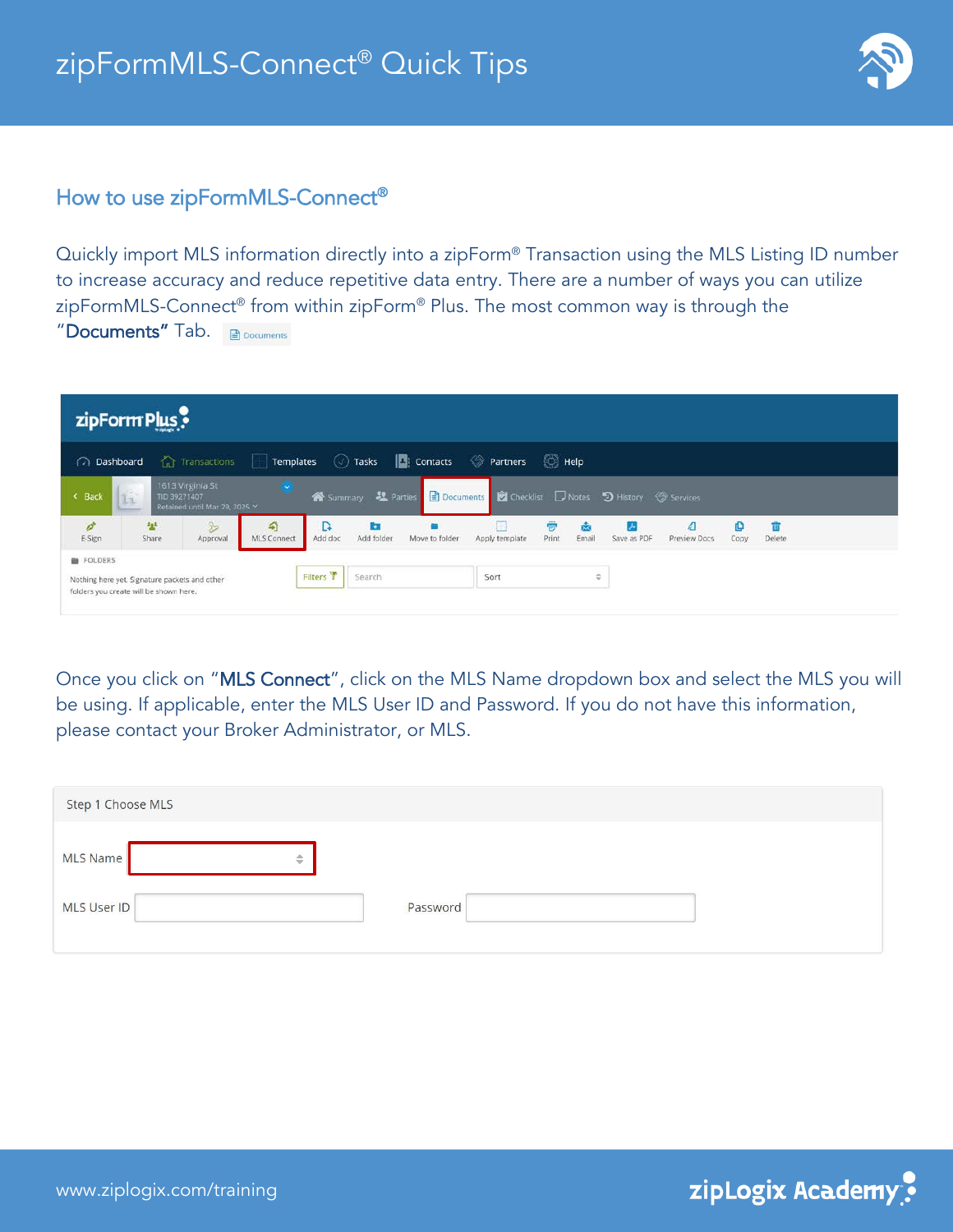

## How to use zipFormMLS-Connect®

Quickly import MLS information directly into a zipForm® Transaction using the MLS Listing ID number to increase accuracy and reduce repetitive data entry. There are a number of ways you can utilize zipFormMLS-Connect® from within zipForm® Plus. The most common way is through the "Documents" Tab. **Ex Documents** 

| zipForm Plus              |                                                                                         |                                                   |                  |                      |                           |                 |                                                |                   |               |             |                   |           |                |  |
|---------------------------|-----------------------------------------------------------------------------------------|---------------------------------------------------|------------------|----------------------|---------------------------|-----------------|------------------------------------------------|-------------------|---------------|-------------|-------------------|-----------|----------------|--|
| ashboard                  |                                                                                         | <b>Contransactions</b>                            | Templates        |                      | $(\vee)$ Tasks            | <b>Contacts</b> | <b>Partners</b>                                | $\bigotimes$ Help |               |             |                   |           |                |  |
| < Back                    | 55<br>TID 39271407<br>IІз                                                               | 1613 Virginia St<br>Retained until Mar 29, 2025 Y |                  |                      | Summary <b>39</b> Parties |                 | Documents D Checklist Notes D History Services |                   |               |             |                   |           |                |  |
| $\mathcal{O}^*$<br>E-Sign | 놯<br>Share                                                                              | $\mathbb{R}$<br>Approval                          | €<br>MLS Connect | D.<br>Add doc        | <b>ka</b><br>Add folder   | Move to folder  | Apply template                                 | ē<br>Print        | Email         | Save as PDF | ₫<br>Preview Docs | o<br>Copy | Till<br>Delete |  |
| FOLDERS                   | Nothing here yet. Signature packets and other<br>folders you create will be shown here. |                                                   |                  | Filters <sup>T</sup> | Search                    |                 | Sort                                           |                   | $\Rightarrow$ |             |                   |           |                |  |

Once you click on "MLS Connect", click on the MLS Name dropdown box and select the MLS you will be using. If applicable, enter the MLS User ID and Password. If you do not have this information, please contact your Broker Administrator, or MLS.

| Step 1 Choose MLS |          |  |
|-------------------|----------|--|
| MLS Name<br>¢     |          |  |
| MLS User ID       | Password |  |

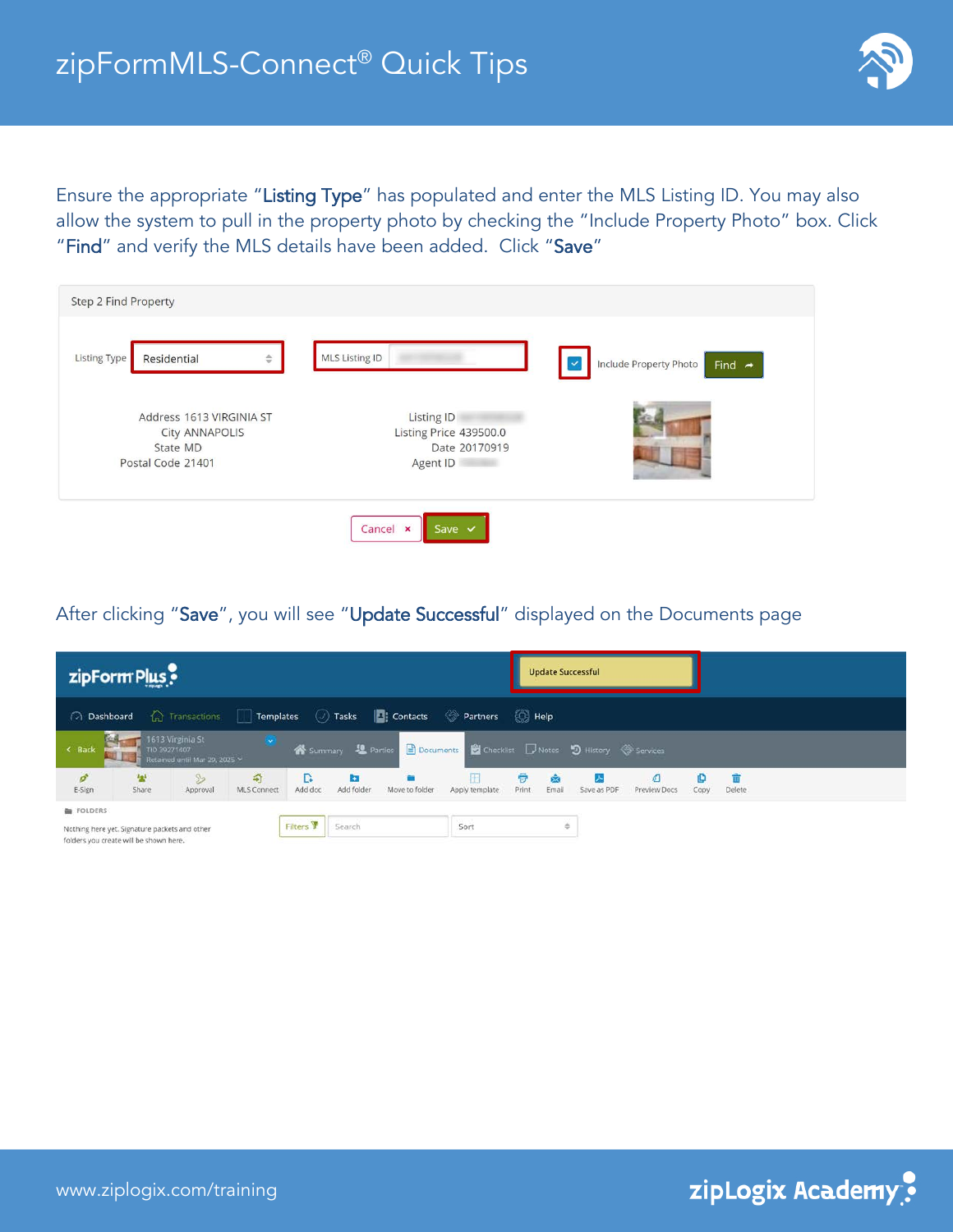

Ensure the appropriate "Listing Type" has populated and enter the MLS Listing ID. You may also allow the system to pull in the property photo by checking the "Include Property Photo" box. Click "Find" and verify the MLS details have been added. Click "Save"

| Step 2 Find Property                                                        |                                                                   |                                                              |
|-----------------------------------------------------------------------------|-------------------------------------------------------------------|--------------------------------------------------------------|
| <b>Listing Type</b><br>Residential<br>$\Rightarrow$                         | MLS Listing ID                                                    | Include Property Photo<br>Find $\rightarrow$<br>$\checkmark$ |
| Address 1613 VIRGINIA ST<br>City ANNAPOLIS<br>State MD<br>Postal Code 21401 | Listing ID<br>Listing Price 439500.0<br>Date 20170919<br>Agent ID |                                                              |
|                                                                             | Cancel x<br>Save $\vee$                                           |                                                              |

After clicking "Save", you will see "Update Successful" displayed on the Documents page

| zipForm Plus                                                                            |             |                                                                   |                         |              |                 |                                                                                                  |                     |            | <b>Update Successful</b> |             |              |           |              |  |  |  |
|-----------------------------------------------------------------------------------------|-------------|-------------------------------------------------------------------|-------------------------|--------------|-----------------|--------------------------------------------------------------------------------------------------|---------------------|------------|--------------------------|-------------|--------------|-----------|--------------|--|--|--|
| nashboard a Transactions                                                                |             |                                                                   |                         |              |                 | Templates (2) Tasks   C: Contacts <> Partners << B: Help                                         |                     |            |                          |             |              |           |              |  |  |  |
| < Back                                                                                  |             | 1613 Virginia St<br>TID 39271407<br>Retained until Mar 29, 2025 Y |                         |              |                 | ※ Summary <u>&amp;</u> Parties <mark>■ Documents 卷</mark> Checklist ■ Notes り History ◆ Services |                     |            |                          |             |              |           |              |  |  |  |
| ö<br>E-Sign                                                                             | 22<br>Share | B<br>Approval                                                     | 수<br><b>MLS Connect</b> | R<br>Add doc | m<br>Add folder | Move to folder                                                                                   | Æ<br>Apply template | ÷<br>Print | Email                    | Save as PDF | Preview Docs | o<br>Copy | 雷<br>Delete. |  |  |  |
| FOLDERS                                                                                 |             |                                                                   |                         |              |                 |                                                                                                  |                     |            |                          |             |              |           |              |  |  |  |
| Nothing here yet. Signature packets and other<br>folders you create will be shown here. |             |                                                                   |                         | Filters Y    | Search          |                                                                                                  | Sort                |            | ÷                        |             |              |           |              |  |  |  |

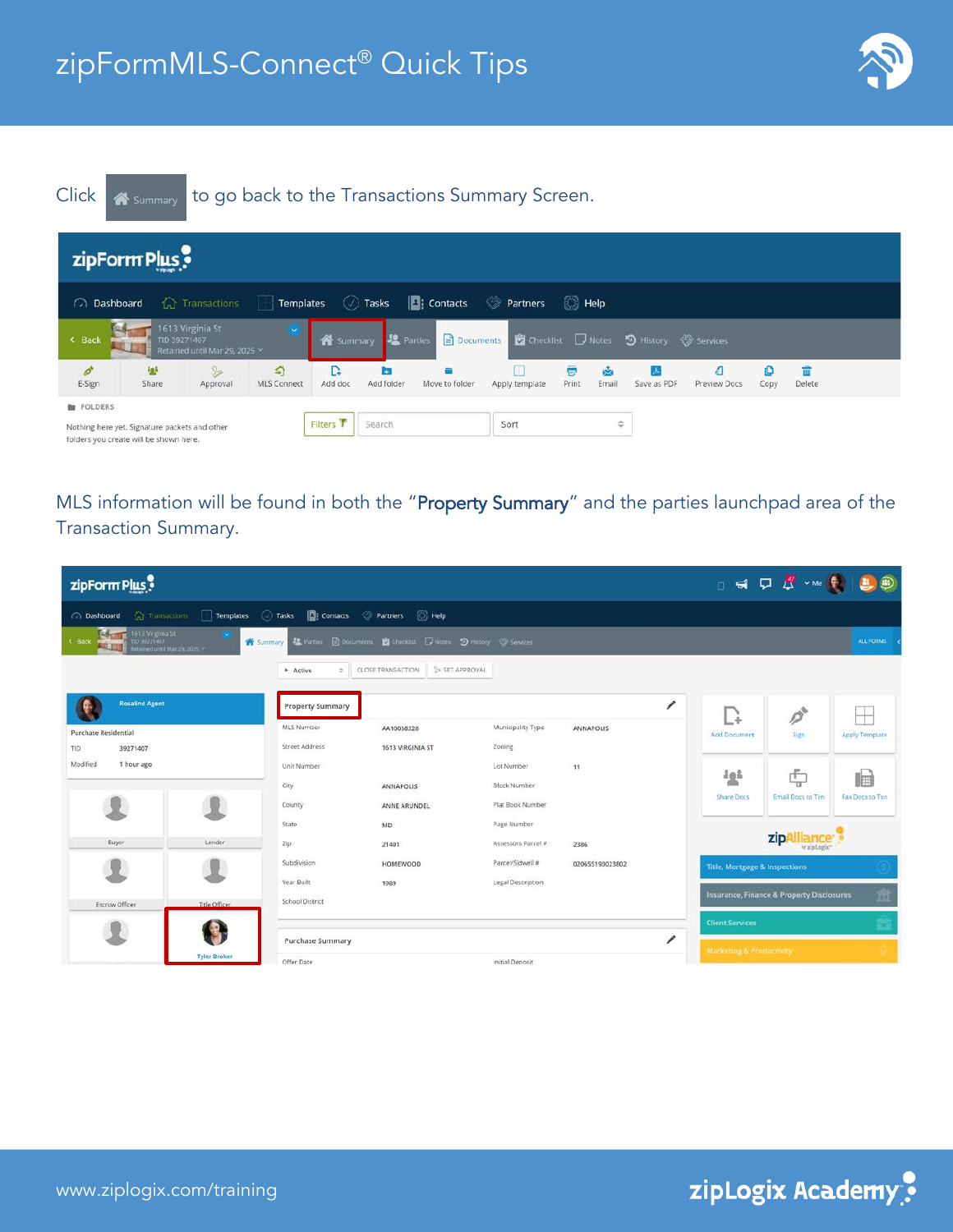



MLS information will be found in both the "Property Summary" and the parties launchpad area of the Transaction Summary.

| zipForm Plus                                                                  |                     |                                                                    |                                                                                      |                    |                          |                                          | DED S - Me ( B B B)                       |                         |
|-------------------------------------------------------------------------------|---------------------|--------------------------------------------------------------------|--------------------------------------------------------------------------------------|--------------------|--------------------------|------------------------------------------|-------------------------------------------|-------------------------|
| ashboard                                                                      |                     | Transactions Templates (2) Tasks Ti Contacts (2) Partners (2) Help |                                                                                      |                    |                          |                                          |                                           |                         |
| 613 Virginia St<br>TID 39271407<br>$\leq$ Back<br>Retained until Mar 29, 2025 |                     |                                                                    | Summary 12 Parties <b>B</b> Documents <b>B</b> Checklet D Notes D History @ Services |                    |                          |                                          |                                           | ALL FORMS <             |
|                                                                               |                     | <b>F</b> Active<br>÷.                                              | SET APPROVAL<br>CLOSE TRANSACTION                                                    |                    |                          |                                          |                                           |                         |
| <b>Rosalind Agent</b>                                                         |                     | <b>Property Summary</b>                                            |                                                                                      |                    | 1                        | Â.                                       | $\overrightarrow{O}$                      |                         |
| Purchase Residential                                                          |                     | MLS Number                                                         | AA10058328                                                                           | Municipality Type  | ANNAPOLIS                | <b>Add Document</b>                      | Sign                                      | <b>Apply Template</b>   |
| TID<br>39271407                                                               |                     | <b>Street Address</b>                                              | 1613 VIRGINIA ST                                                                     | Zoning             |                          |                                          |                                           |                         |
| Modified<br>1 hour ago                                                        |                     | Unit Number                                                        |                                                                                      | Lot Number         | 11                       | 譽                                        | 凸                                         | llm                     |
|                                                                               |                     | City                                                               | ANNAPOLIS                                                                            | Block Number       |                          | <b>Share Docs</b>                        | <b>Email Docs to Txn</b>                  | <b>Fax Docs to Txrt</b> |
|                                                                               |                     | County                                                             | ANNE ARUNDEL                                                                         | Plat Book Number   |                          |                                          |                                           |                         |
|                                                                               |                     | State:                                                             | MD.                                                                                  | Page Number        |                          |                                          | zip.                                      |                         |
| Buyer                                                                         | Lender              | Zip:                                                               | 21401                                                                                | Assessors Parcel # | 2386                     |                                          | by zipLogix"                              |                         |
|                                                                               |                     | Subdivision                                                        | <b>HOMEWOOD</b>                                                                      | Parcel/Sidwell #   | 020655190023802          | <b>Title, Mortgage &amp; Inspections</b> |                                           |                         |
|                                                                               |                     | Year Built                                                         | 1989                                                                                 | Legal Description  |                          |                                          |                                           |                         |
| Escrow Officer                                                                | Title Officer       | <b>School District</b>                                             |                                                                                      |                    |                          |                                          | Insurance, Finance & Property Disclosures | 雷                       |
|                                                                               |                     |                                                                    |                                                                                      |                    |                          | <b>Client Services</b>                   |                                           |                         |
|                                                                               |                     | <b>Purchase Summary</b>                                            |                                                                                      |                    | $\overline{\phantom{a}}$ | Marketing & Productivity                 |                                           |                         |
|                                                                               | <b>Tyler Broker</b> | Offer Date                                                         |                                                                                      | Initial Deposit    |                          |                                          |                                           |                         |

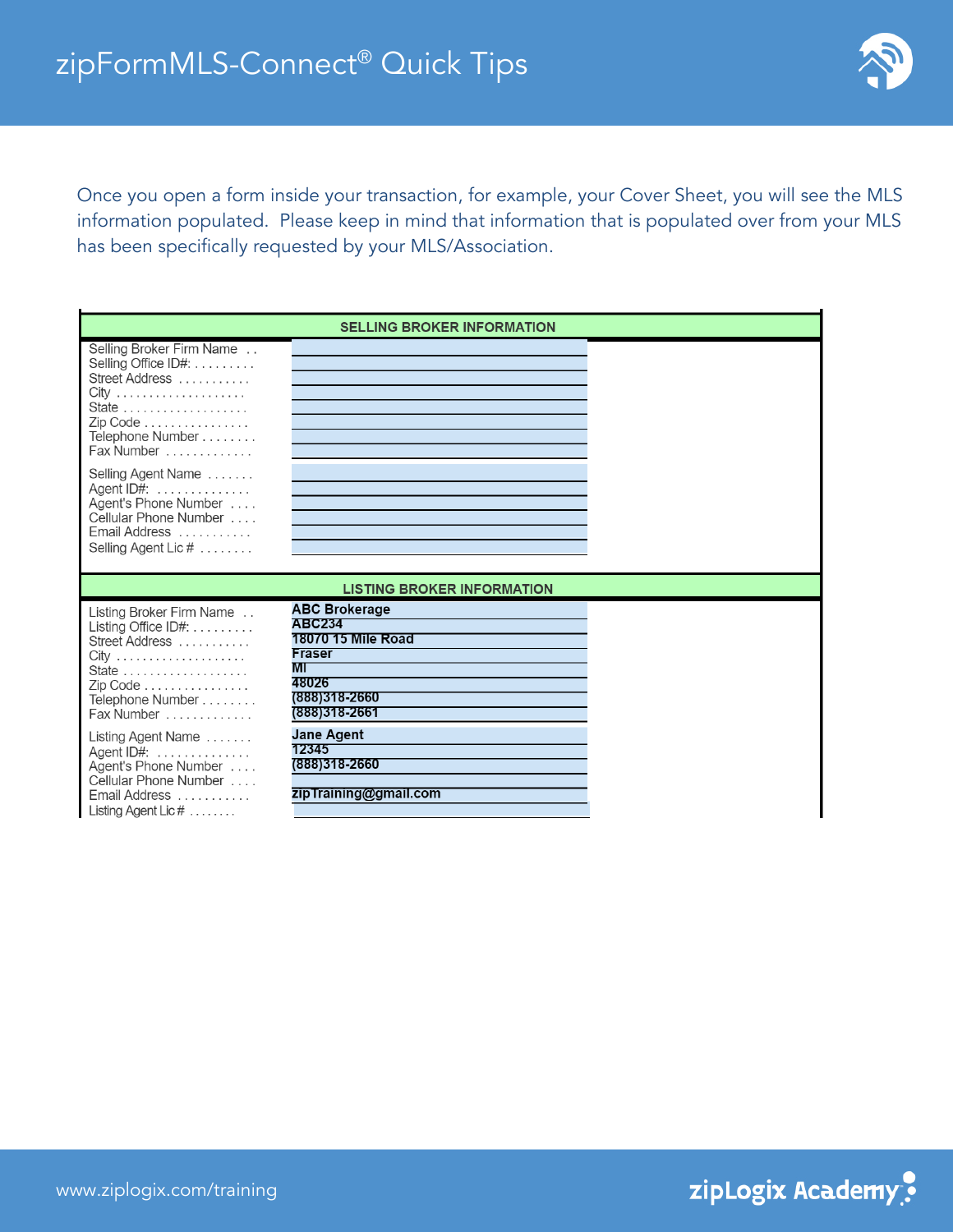

## Once you open a form inside your transaction, for example, your Cover Sheet, you will see the MLS information populated. Please keep in mind that information that is populated over from your MLS has been specifically requested by your MLS/Association.

|                                                                                                                                                                                | <b>SELLING BROKER INFORMATION</b>                                                                                             |  |
|--------------------------------------------------------------------------------------------------------------------------------------------------------------------------------|-------------------------------------------------------------------------------------------------------------------------------|--|
| Selling Broker Firm Name<br>Selling Office ID#:<br>Street Address<br>$City$<br>State<br>Zip Code<br>Telephone Number<br>Fax Number                                             |                                                                                                                               |  |
| Selling Agent Name<br>Agent ID#:<br>Agent's Phone Number<br>Cellular Phone Number<br>Email Address<br>Selling Agent Lic #                                                      |                                                                                                                               |  |
|                                                                                                                                                                                | <b>LISTING BROKER INFORMATION</b>                                                                                             |  |
| Listing Broker Firm Name<br>Listing Office $ID#$ :<br>Street Address<br>Zip Code<br>Telephone Number<br>Fax Number                                                             | <b>ABC Brokerage</b><br><b>ABC234</b><br>18070 15 Mile Road<br><b>Fraser</b><br>МI<br>48026<br>(888)318-2660<br>(888)318-2661 |  |
| Listing Agent Name<br>Agent ID#: $\dots\dots\dots\dots$<br>Agent's Phone Number<br>Cellular Phone Number<br>Email Address<br>$\blacksquare$ isting Agent Lic # $\ldots \ldots$ | <b>Jane Agent</b><br>12345<br>(888)318-2660<br>zipTraining@gmail.com                                                          |  |